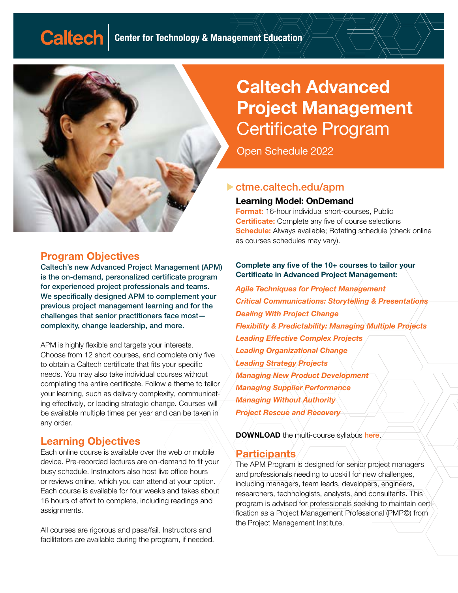

#### Program Objectives

Caltech's new Advanced Project Management (APM) is the on-demand, personalized certificate program for experienced project professionals and teams. We specifically designed APM to complement your previous project management learning and for the challenges that senior practitioners face most complexity, change leadership, and more.

APM is highly flexible and targets your interests. Choose from 12 short courses, and complete only five to obtain a Caltech certificate that fits your specific needs. You may also take individual courses without completing the entire certificate. Follow a theme to tailor your learning, such as delivery complexity, communicating effectively, or leading strategic change. Courses will be available multiple times per year and can be taken in any order.

### Learning Objectives

Each online course is available over the web or mobile device. Pre-recorded lectures are on-demand to fit your busy schedule. Instructors also host live office hours or reviews online, which you can attend at your option. Each course is available for four weeks and takes about 16 hours of effort to complete, including readings and assignments.

All courses are rigorous and pass/fail. Instructors and facilitators are available during the program, if needed.

# Caltech Advanced Project Management Certificate Program

Open Schedule 2022

#### [ctme.caltech.edu/a](https://ctme.caltech.edu/apm?utm_source=pmixpo&utm_medium=pdf)pm

#### Learning Model: OnDemand

Format: 16-hour individual short-courses, Public **Certificate:** Complete any five of course selections **Schedule:** Always available; Rotating schedule (check online as courses schedules may vary).

#### Complete any five of the 10+ courses to tailor your Certificate in Advanced Project Management:

*Agile Techniques for Project Management Critical Communications: Storytelling & Presentations Dealing With Project Change Flexibility & Predictability: Managing Multiple Projects Leading Effective Complex Projects Leading Organizational Change Leading Strategy Projects Managing New Product Development Managing Supplier Performance Managing Without Authority Project Rescue and Recovery*

**DOWNLOAD** the multi-course syllabus [here](https://caltech-ctme.showpad.com/share/1r4WbDXsXfzNRyRX8GZce).

#### **Participants**

The APM Program is designed for senior project managers and professionals needing to upskill for new challenges, including managers, team leads, developers, engineers, researchers, technologists, analysts, and consultants. This program is advised for professionals seeking to maintain certification as a Project Management Professional (PMP©) from the Project Management Institute.